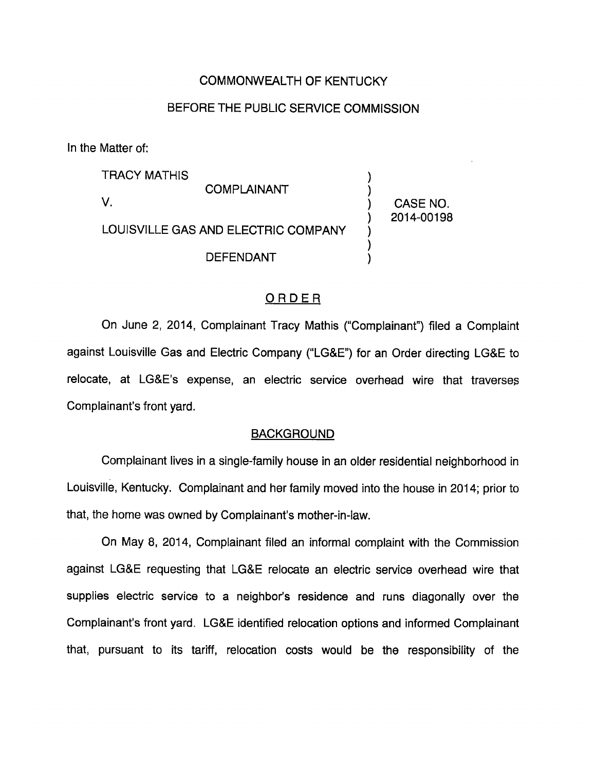## COMMONWEALTH OF KENTUCKY

# BEFORE THE PUBLIC SERVICE COMMISSION

In the Matter of:

TRACY MATHIS COMPLAINANT V. LOUISVILLE GAS AND ELECTRIC COMPANY DEFENDANT CASE NO. 2014-00198

# ORDER

On June 2, 2014, Complainant Tracy Mathis ("Complainant") filed a Complaint against Louisville Gas and Electric Company ("LG&E") for an Order directing LG&E to relocate, at LG&E's expense, an electric service overhead wire that traverses Complainant's front yard.

#### **BACKGROUND**

Complainant lives in a single-family house in an older residential neighborhood in Louisville, Kentucky. Complainant and her family moved into the house in 2014; prior to that, the home was owned by Complainant's mother-in-law.

On May 8, 2014, Complainant filed an informal complaint with the Commission against LG&E requesting that LG&E relocate an electric service overhead wire that supplies electric service to a neighbor's residence and runs diagonally over the Complainant's front yard. LG&E identified relocation options and informed Complainant that, pursuant to its tariff, relocation costs would be the responsibility of the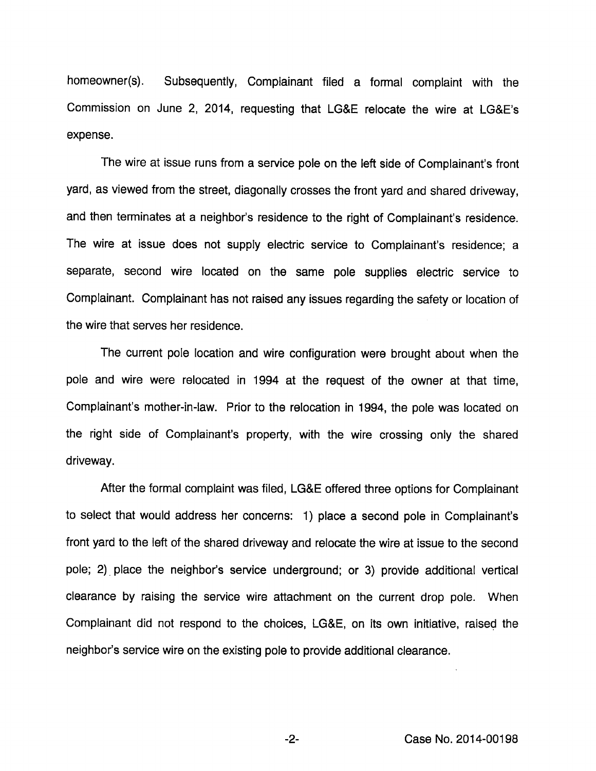homeowner(s). Subsequently, Complainant filed a formal complaint with the Commission on June 2, 2014, requesting that LG&E relocate the wire at LG&E's expense.

The wire at issue runs from a service pole on the left side of Complainant's front yard, as viewed from the street, diagonally crosses the front yard and shared driveway, and then terminates at a neighbor's residence to the right of Complainant's residence. The wire at issue does not supply electric service to Complainant's residence; a separate, second wire located on the same pole supplies electric service to Complainant. Complainant has not raised any issues regarding the safety or location of the wire that serves her residence.

The current pole location and wire configuration were brought about when the pole and wire were relocated in 1994 at the request of the owner at that time. Complainant's mother-in-law. Prior to the relocation in 1994, the pole was located on the right side of Complainant's property, with the wire crossing only the shared driveway.

After the formal complaint was filed, LG&E offered three options for Complainant to select that would address her concerns: 1) place a second pole in Complainant's front yard to the left of the shared driveway and relocate the wire at issue to the second pole; 2) place the neighbor's service underground; or 3) provide additional vertical clearance by raising the service wire attachment on the current drop pole. When Complainant did not respond to the choices, LG&E, on its own initiative, raised the neighbor's service wire on the existing pole to provide additional clearance.

-2- Case No. 2014-00198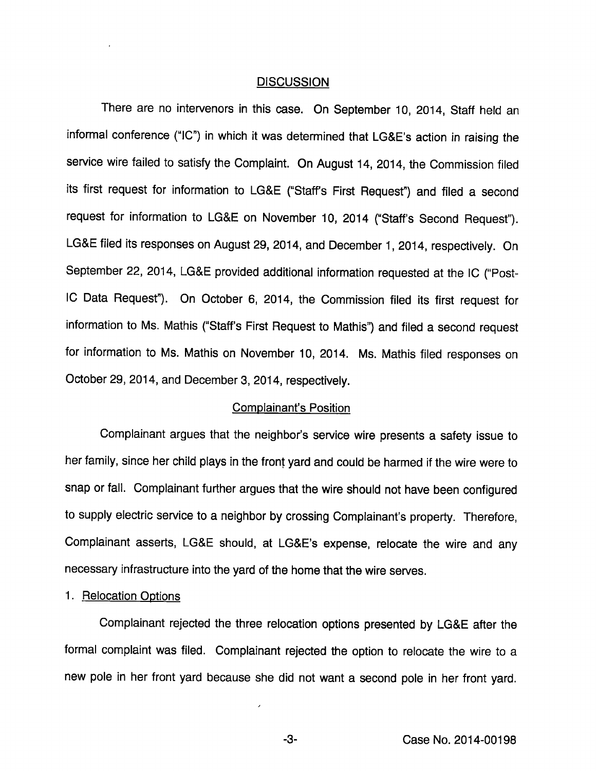#### **DISCUSSION**

There are no intervenors in this case. On September 10, 2014, Staff held an informal conference ("10") in which it was determined that LG&E's action in raising the service wire failed to satisfy the Complaint. On August 14, 2014, the Commission filed its first request for information to LG&E ("Staff's First Request") and filed a second request for information to LG&E on November 10, 2014 ("Staff's Second Request"). LG&E filed its responses on August 29, 2014, and December 1, 2014, respectively. On September 22, 2014, LG&E provided additional information requested at the IC ("Post-IC Data Requesf). On October 6, 2014, the Commission filed its first request for information to Ms. Mathis ("Staff's First Request to Mathis") and filed a second request for information to Ms. Mathis on November 10, 2014. Ms. Mathis filed responses on October 29, 2014, and December 3, 2014, respectively.

## Complainant's Position

Complainant argues that the neighbor's service wire presents a safety issue to her family, since her child plays in the front yard and could be harmed if the wire were to snap or fall. Complainant further argues that the wire should not have been configured to supply electric service to a neighbor by crossing Complainant's property. Therefore, Complainant asserts, LG&E should, at LG&E's expense, relocate the wire and any necessary infrastructure into the yard of the home that the wire serves.

#### 1. Relocation Options

Complainant rejected the three relocation options presented by LG&E after the formal complaint was filed. Complainant rejected the option to relocate the wire to a new pole in her front yard because she did not want a second pole in her front yard.

 $-3-$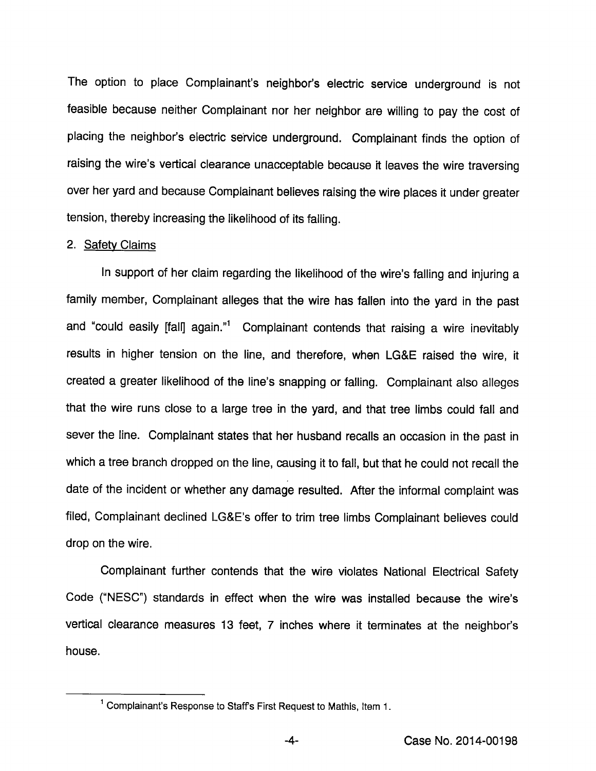The option to place Complainant's neighbor's electric service underground is not feasible because neither Complainant nor her neighbor are willing to pay the cost of placing the neighbor's electric service underground. Complainant finds the option of raising the wire's vertical clearance unacceptable because it leaves the wire traversing over her yard and because Complainant believes raising the wire places it under greater tension, thereby increasing the likelihood of its falling.

#### 2. Safety Claims

In support of her claim regarding the likelihood of the wire's falling and injuring a family member, Complainant alleges that the wire has fallen into the yard in the past and "could easily [fall] again."1 Complainant contends that raising a wire inevitably results in higher tension on the line, and therefore, when LG&E raised the wire, it created a greater likelihood of the line's snapping or falling. Complainant also alleges that the wire runs close to a large tree in the yard, and that tree limbs could fall and sever the line. Complainant states that her husband recalls an occasion in the past in which a tree branch dropped on the line, causing it to fall, but that he could not recall the date of the incident or whether any damage resulted. After the informal complaint was filed. Complainant declined LG&E's offer to trim tree limbs Complainant believes could drop on the wire.

Complainant further contends that the wire violates National Electrical Safety Code ("NESC") standards in effect when the wire was installed because the wire's vertical clearance measures 13 feet, 7 inches where it terminates at the neighbor's house.

<sup>&</sup>lt;sup>1</sup> Complainant's Response to Staff's First Request to Mathis, Item 1.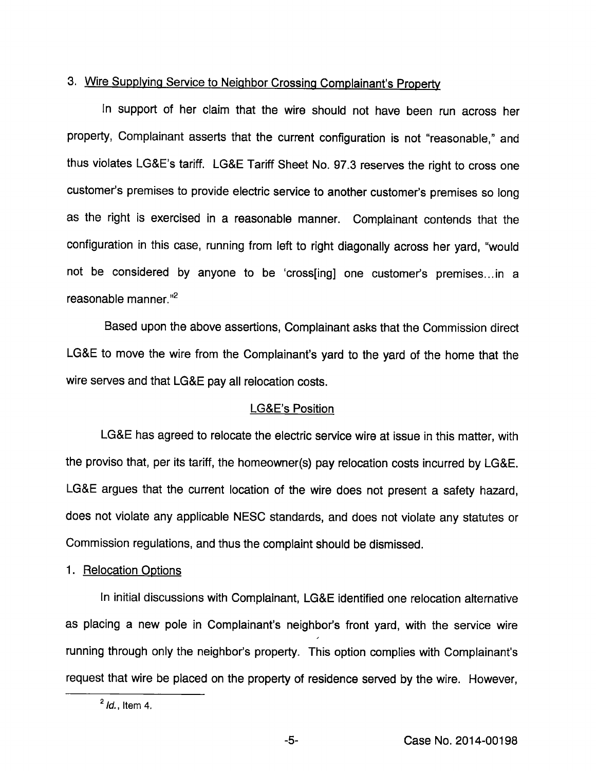# 3. Wire Supplying Service to Neighbor Crossing Complainant's Property

in support of her claim that the wire should not have been run across her property, Complainant asserts that the current configuration is not "reasonable," and thus violates LG&E's tariff. LG&E Tariff Sheet No. 97.3 reserves the right to cross one customer's premises to provide electric service to another customer's premises so long as the right is exercised in a reasonable manner. Complainant contends that the configuration in this case, running from left to right diagonally across her yard, "would not be considered by anyone to be 'cross[ing] one customer's premises...in a reasonable manner. $"^{2}$ 

Based upon the above assertions. Complainant asks that the Commission direct LG&E to move the wire from the Complainant's yard to the yard of the home that the wire serves and that LG&E pay all relocation costs.

## LG&E's Position

LG&E has agreed to relocate the electric service wire at issue in this matter, with the proviso that, per its tariff, the homeowner(s) pay relocation costs incurred by LG&E. LG&E argues that the current location of the wire does not present a safety hazard, does not violate any applicable NESC standards, and does not violate any statutes or Commission regulations, and thus the complaint should be dismissed.

#### 1. Relocation Gotions

In initial discussions with Complainant, LG&E identified one relocation altemative as placing a new pole in Complainant's neighbor's front yard, with the service wire running through only the neighbor's property. This option complies with Complainant's request that wire be placed on the property of residence served by the wire. However,

 $^2$  *ld.*, Item 4.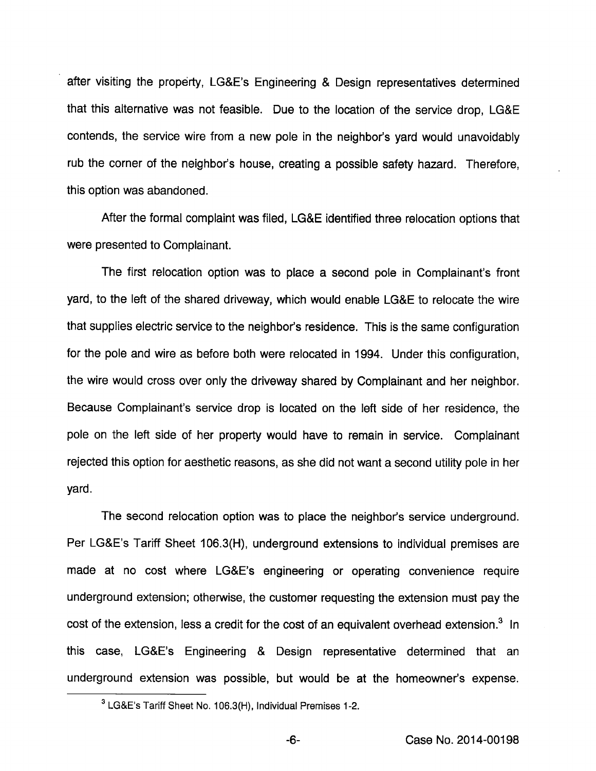after visiting the property, LG&E's Engineering & Design representatives determined that this alternative was not feasible. Due to the location of the service drop, LG&E contends, the service wire from a new pole in the neighbor's yard would unavoidably rub the corner of the neighbor's house, creating a possible safety hazard. Therefore, this option was abandoned.

After the formal complaint was filed, LG&E identified three relocation options that were presented to Complainant.

The first relocation option was to place a second pole in Complainant's front yard, to the left of the shared driveway, which would enable LG&E to relocate the wire that supplies electric service to the neighbor's residence. This is the same configuration for the pole and wire as before both were relocated in 1994. Under this configuration, the wire would cross over only the driveway shared by Complainant and her neighbor. Because Complainant's service drop is located on the left side of her residence, the pole on the left side of her property would have to remain in service. Complainant rejected this option for aesthetic reasons, as she did not want a second utility pole in her yard.

The second relocation option was to place the neighbor's service underground. Per LG&E's Tariff Sheet 106.3(H), underground extensions to individual premises are made at no cost where LG&E's engineering or operating convenience require underground extension; otherwise, the customer requesting the extension must pay the cost of the extension, less a credit for the cost of an equivalent overhead extension.<sup>3</sup> In this case, LG&E's Engineering & Design representative determined that an underground extension was possible, but would be at the homeowner's expense.

 $-6-$ 

 $3$  LG&E's Tariff Sheet No. 106.3(H), Individual Premises 1-2.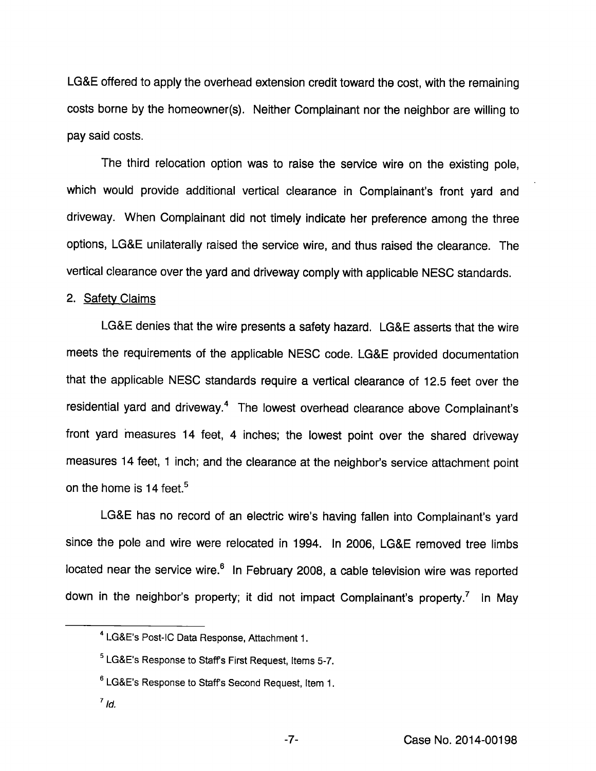LG&E offered to apply the overhead extension credit toward the cost, with the remaining costs borne by the homeowner(s). Neither Complainant nor the neighbor are willing to pay said costs.

The third relocation option was to raise the service wire on the existing pole, which would provide additional vertical clearance in Complainant's front yard and driveway. When Complainant did not timely indicate her preference among the three options, LG&E unilaterally raised the service wire, and thus raised the clearance. The vertical clearance over the yard and driveway comply with applicable NESC standards.

## 2. Safety Claims

LG&E denies that the wire presents a safety hazard. LG&E asserts that the wire meets the requirements of the applicable NESC code. LG&E provided documentation that the applicable NESC standards require a vertical clearance of 12.5 feet over the residential yard and driveway.<sup>4</sup> The lowest overhead clearance above Complainant's front yard measures 14 feet, 4 inches; the lowest point over the shared driveway measures 14 feet, 1 inch; and the clearance at the neighbor's service attachment point on the home is 14 feet. $5$ 

LG&E has no record of an electric wire's having fallen into Complainant's yard since the pole and wire were relocated in 1994. In 2006, LG&E removed tree limbs located near the service wire.<sup>6</sup> In February 2008, a cable television wire was reported down in the neighbor's property; it did not impact Complainant's property.<sup>7</sup> In May

- ®LG&E's Response to Staffs Second Request, Item 1.
- $^7$  Id.

<sup>^</sup>LG&E's Post-IC Data Response, Attachment 1.

<sup>&</sup>lt;sup>5</sup> LG&E's Response to Staff's First Request, Items 5-7.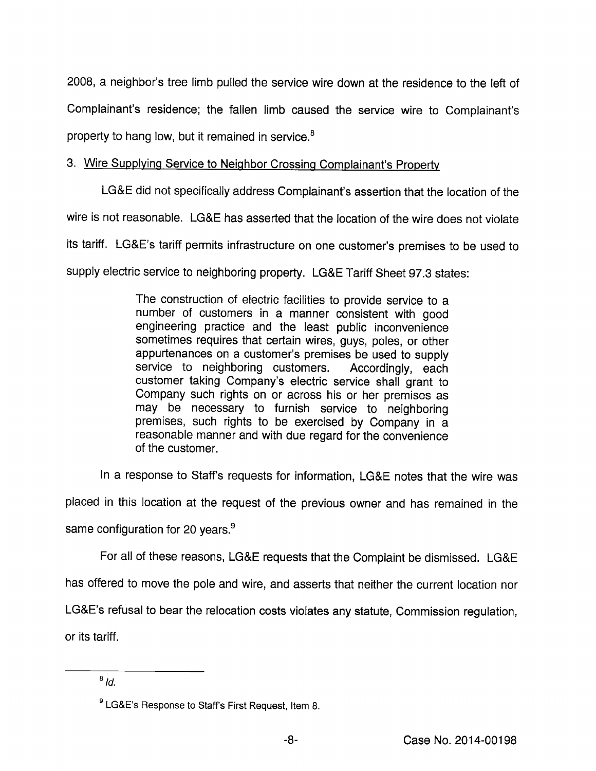2008, a neighbor's tree limb pulled the service wire down at the residence to the left of Complainant's residence; the fallen limb caused the service wire to Complainant's property to hang low, but it remained in service.®

# 3. Wire Supplvinq Service to Neighbor Crossing Complainant's Propertv

LG&E did not specifically address Complainant's assertion that the location of the wire is not reasonable. LG&E has asserted that the location of the wire does not violate its tariff. LG&E's tariff permits infrastructure on one customer's premises to be used to supply electric service to neighboring property. LG&E Tariff Sheet 97.3 states:

> The construction of electric facilities to provide service to a number of customers in a manner consistent with good engineering practice and the least public inconvenience sometimes requires that certain wires, guys, poles, or other appurtenances on a customer's premises be used to supply service to neighboring customers. Accordingly, each customer taking Company's electric service shall grant to Company such rights on or across his or her premises as may be necessary to furnish service to neighboring premises, such rights to be exercised by Company in a reasonable manner and with due regard for the convenience of the customer.

In a response to Staffs requests for information, LG&E notes that the wire was

placed in this location at the request of the previous owner and has remained in the

same configuration for 20 years.<sup>9</sup>

For all of these reasons, LG&E requests that the Complaint be dismissed. LG&E

has offered to move the pole and wire, and asserts that neither the current location nor

LG&E's refusal to bear the relocation costs violates any statute. Commission regulation,

or its tariff.

 $8/d$ .

 $^{\rm 9}$  LG&E's Response to Staff's First Request, Item 8.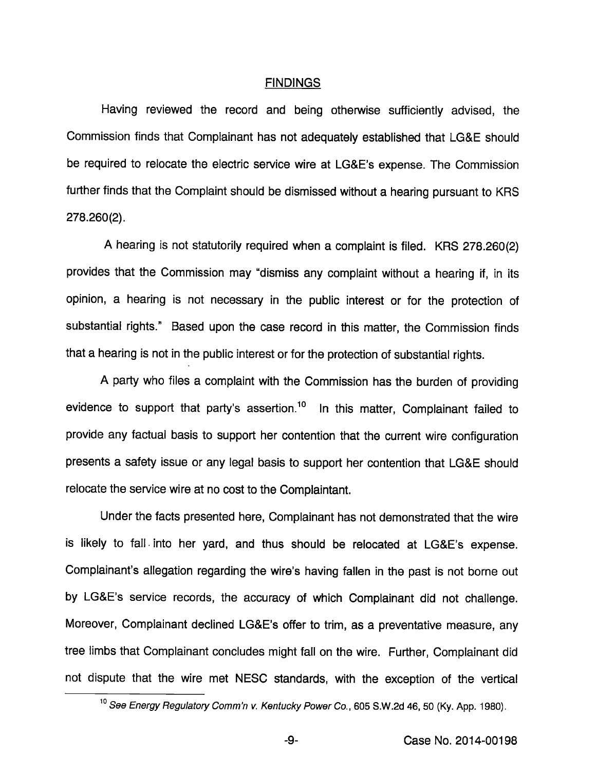#### FINDINGS

Having reviewed the record and being othenwise sufficiently advised, the Commission finds that Complainant has not adequately established that LG&E should be required to relocate the electric service wire at LG&E's expense. The Commission further finds that the Complaint should be dismissed without a hearing pursuant to KRS 278.260(2).

A hearing is not statutoriiy required when a complaint is filed. KRS 278.260(2) provides that the Commission may "dismiss any complaint without a hearing if, in its opinion, a hearing is not necessary in the public interest or for the protection of substantial rights." Based upon the case record in this matter, the Commission finds that a hearing is not in the public interest or for the protection of substantial rights.

A party who files a complaint with the Commission has the burden of providing evidence to support that party's assertion.<sup>10</sup> In this matter, Complainant failed to provide any factual basis to support her contention that the current wire configuration presents a safety issue or any legal basis to support her contention that LG&E should relocate the service wire at no cost to the Complaintant.

Under the facts presented here. Complainant has not demonstrated that the wire is likely to fall into her yard, and thus should be relocated at LG&E's expense. Complainant's allegation regarding the wire's having fallen in the past is not borne out by LG&E's service records, the accuracy of which Complainant did not challenge. Moreover, Complainant declined LG&E's offer to trim, as a preventative measure, any tree limbs that Complainant concludes might fall on the wire. Further, Complainant did not dispute that the wire met NESC standards, with the exception of the vertical

-9-

<sup>&</sup>lt;sup>10</sup> See Energy Regulatory Comm'n v. Kentucky Power Co., 605 S.W.2d 46, 50 (Ky. App. 1980).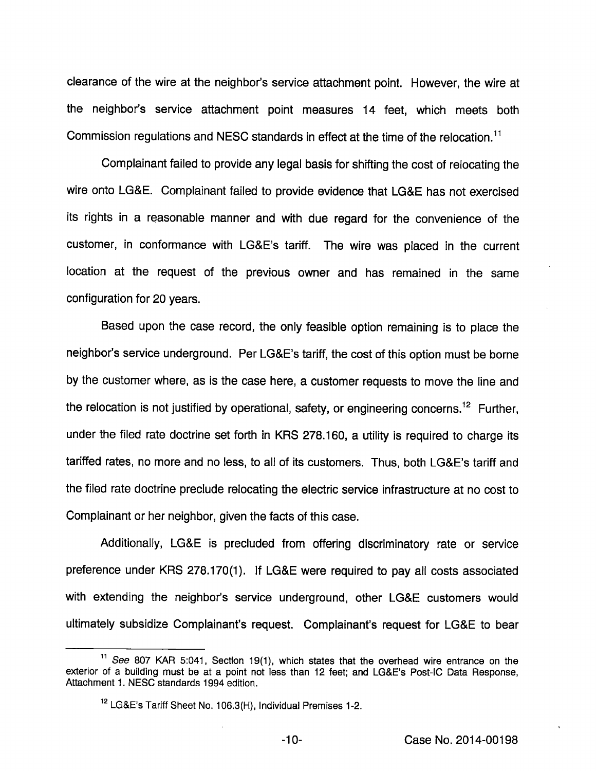clearance of the wire at the neighbor's service attachment point. However, the wire at the neighbor's service attachment point measures 14 feet, which meets both Commission regulations and NESC standards in effect at the time of the relocation."

Complainant failed to provide any legal basis for shifting the cost of relocating the wire onto LG&E. Complainant failed to provide evidence that LG&E has not exercised its rights in a reasonable manner and with due regard for the convenience of the customer, in conformance with LG&E's tariff. The wire was placed in the current location at the request of the previous owner and has remained in the same configuration for 20 years.

Based upon the case record, the only feasible option remaining is to place the neighbor's service underground. Per LG&E's tariff, the cost of this option must be bome by the customer where, as is the case here, a customer requests to move the line and the relocation is not justified by operational, safety, or engineering concerns.<sup>12</sup> Further, under the filed rate doctrine set forth in KRS 278.160, a utility is required to charge its tariffed rates, no more and no less, to all of its customers. Thus, both LG&E's tariff and the filed rate doctrine preclude relocating the electric service infrastructure at no cost to Complainant or her neighbor, given the facts of this case.

Additionally, LG&E is precluded from offering discriminatory rate or service preference under KRS 278.170(1). If LG&E were required to pay all costs associated with extending the neighbor's service underground, other LG&E customers would ultimately subsidize Complainant's request. Complainant's request for LG&E to bear

 $11$  See 807 KAR 5:041, Section 19(1), which states that the overhead wire entrance on the exterior of a buiiding must be at a point not iess than 12 feet; and LG&E's Post-iC Data Response, Attachment 1. NESC standards 1994 edition.

LG&E's Tariff Sheet No. 106.3(H), Individual Premises 1-2.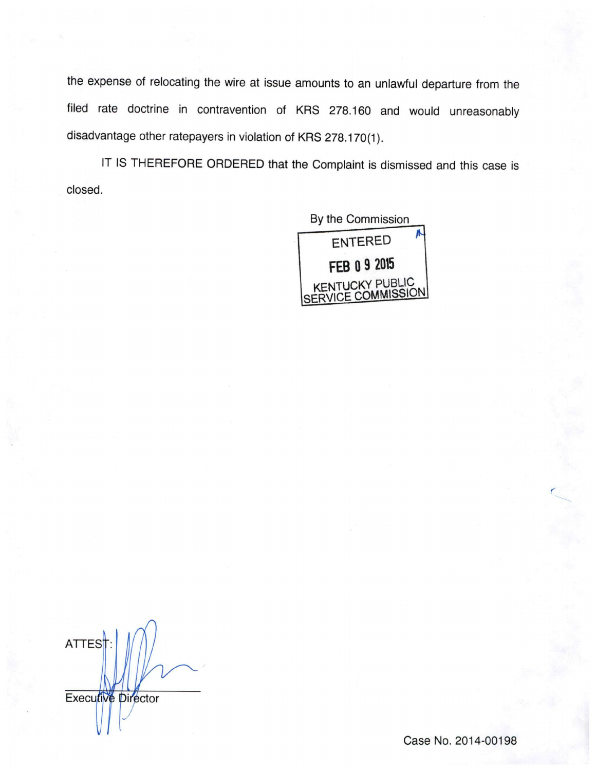the expense of relocating the wire at issue amounts to an unlawful departure from the filed rate doctrine in contravention of KRS 278.160 and would unreasonably disadvantage other ratepayers in violation of KRS 278.170(1).

IT IS THEREFORE ORDERED that the Complaint is dismissed and this case is closed.



**ATTEST** Executive Director

Case No. 2014-00198

r